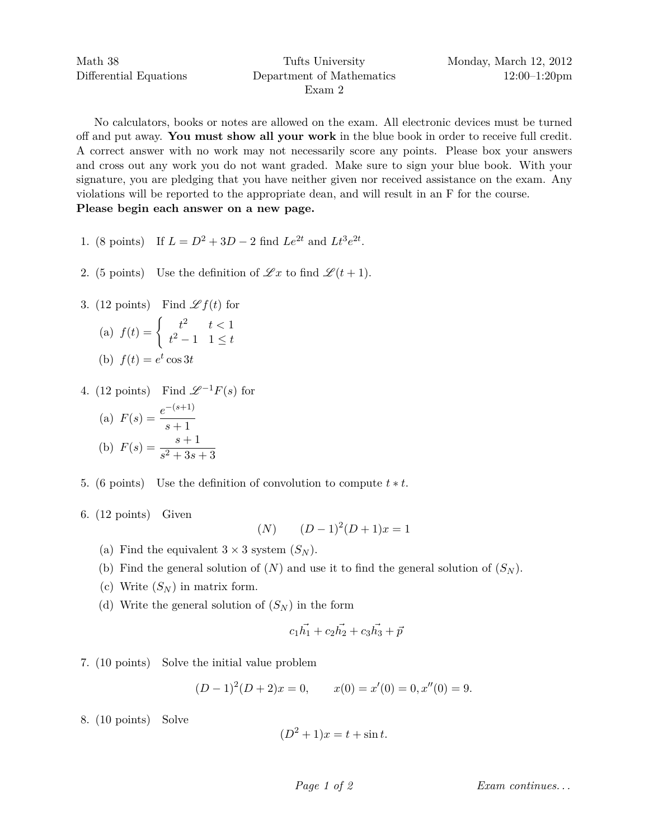No calculators, books or notes are allowed on the exam. All electronic devices must be turned off and put away. **You must show all your work** in the blue book in order to receive full credit. A correct answer with no work may not necessarily score any points. Please box your answers and cross out any work you do not want graded. Make sure to sign your blue book. With your signature, you are pledging that you have neither given nor received assistance on the exam. Any violations will be reported to the appropriate dean, and will result in an F for the course. **Please begin each answer on a new page.**

- 1. (8 points) If  $L = D^2 + 3D 2$  find  $Le^{2t}$  and  $Lt^3e^{2t}$ .
- 2. (5 points) Use the definition of  $\mathscr{L}x$  to find  $\mathscr{L}(t+1)$ .
- 3. (12 points) Find  $\mathscr{L} f(t)$  for

(a) 
$$
f(t) = \begin{cases} t^2 & t < 1 \\ t^2 - 1 & 1 \le t \end{cases}
$$
  
(b)  $f(t) = e^t \cos 3t$ 

4. (12 points) Find  $\mathscr{L}^{-1}F(s)$  for

(a) 
$$
F(s) = \frac{e^{-(s+1)}}{s+1}
$$
  
\n(b)  $F(s) = \frac{s+1}{s^2+3s+3}$ 

- 5. (6 points) Use the definition of convolution to compute *t* ∗ *t*.
- 6. (12 points) Given

$$
(N) \qquad (D-1)^2(D+1)x = 1
$$

- (a) Find the equivalent  $3 \times 3$  system  $(S_N)$ .
- (b) Find the general solution of  $(N)$  and use it to find the general solution of  $(S_N)$ .
- (c) Write  $(S_N)$  in matrix form.
- (d) Write the general solution of  $(S_N)$  in the form

$$
c_1 \vec{h_1} + c_2 \vec{h_2} + c_3 \vec{h_3} + \vec{p}
$$

7. (10 points) Solve the initial value problem

$$
(D-1)2(D+2)x = 0, \t x(0) = x'(0) = 0, x''(0) = 9.
$$

8. (10 points) Solve

$$
(D2 + 1)x = t + \sin t.
$$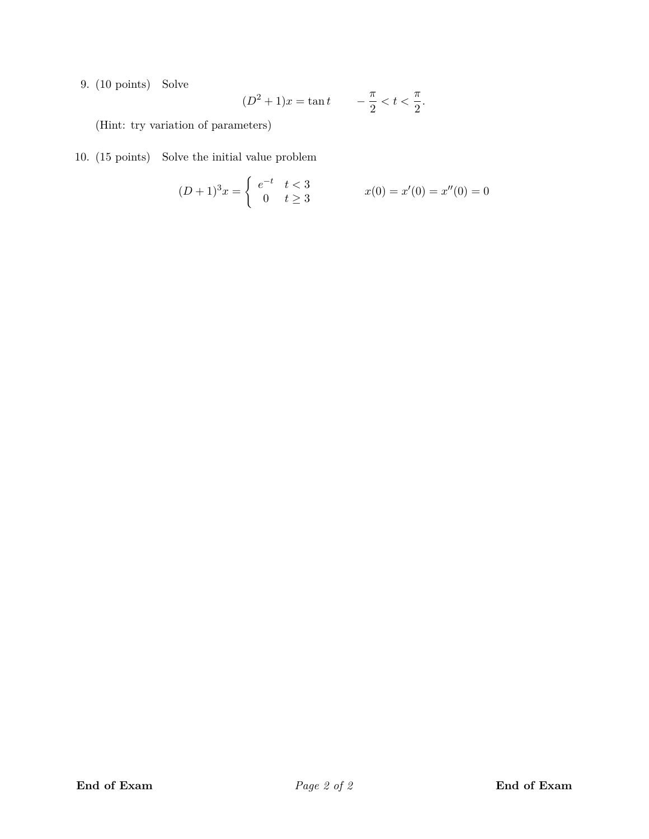9. (10 points) Solve

$$
(D^2 + 1)x = \tan t
$$
  $-\frac{\pi}{2} < t < \frac{\pi}{2}$ .

(Hint: try variation of parameters)

10. (15 points) Solve the initial value problem

$$
(D+1)^3 x = \begin{cases} e^{-t} & t < 3\\ 0 & t \ge 3 \end{cases} \qquad x(0) = x'(0) = x''(0) = 0
$$